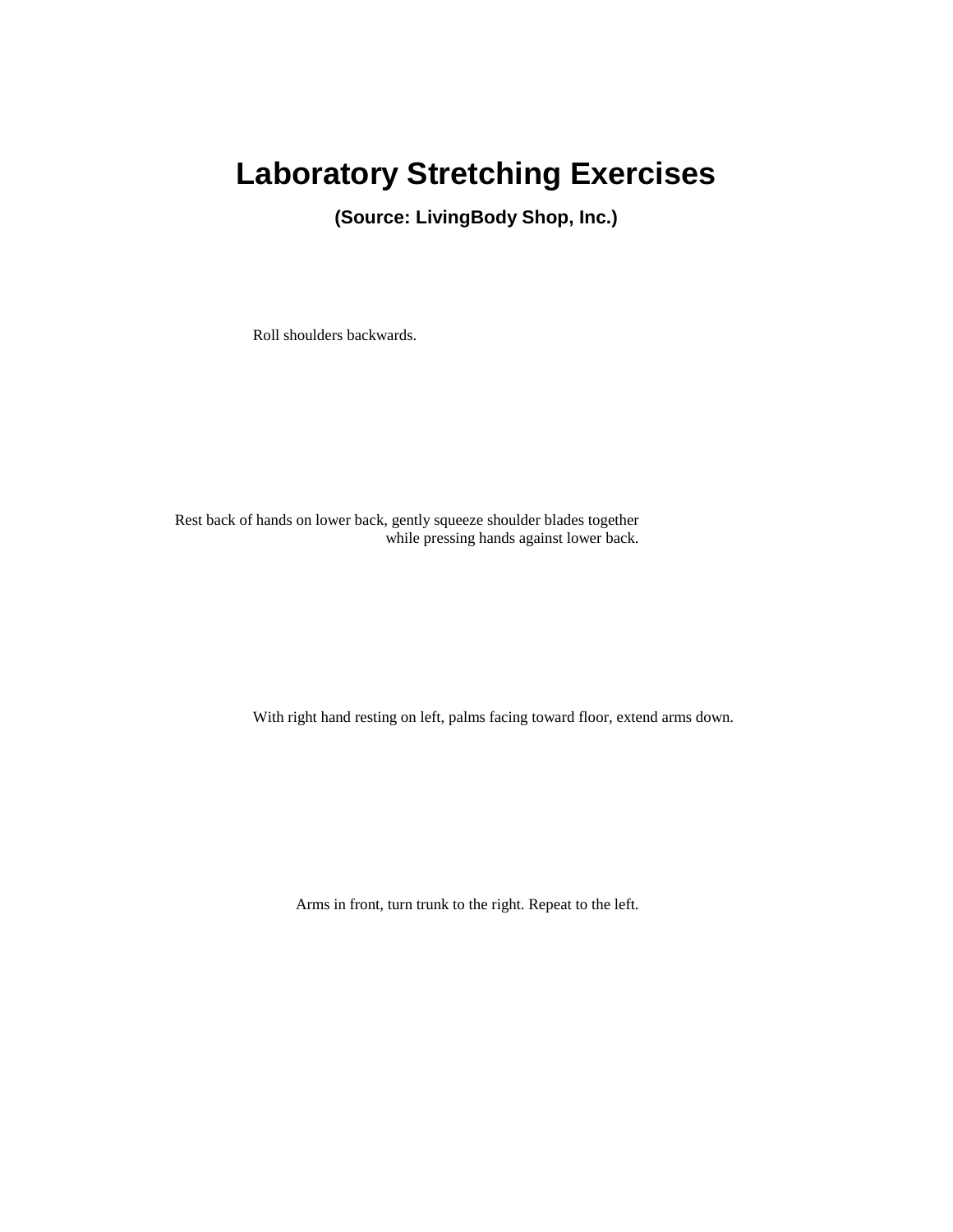## **Laboratory Stretching Exercises**

**(Source: LivingBody Shop, Inc.)**

Roll shoulders backwards.

Rest back of hands on lower back, gently squeeze shoulder blades together while pressing hands against lower back.

With right hand resting on left, palms facing toward floor, extend arms down.

Arms in front, turn trunk to the right. Repeat to the left.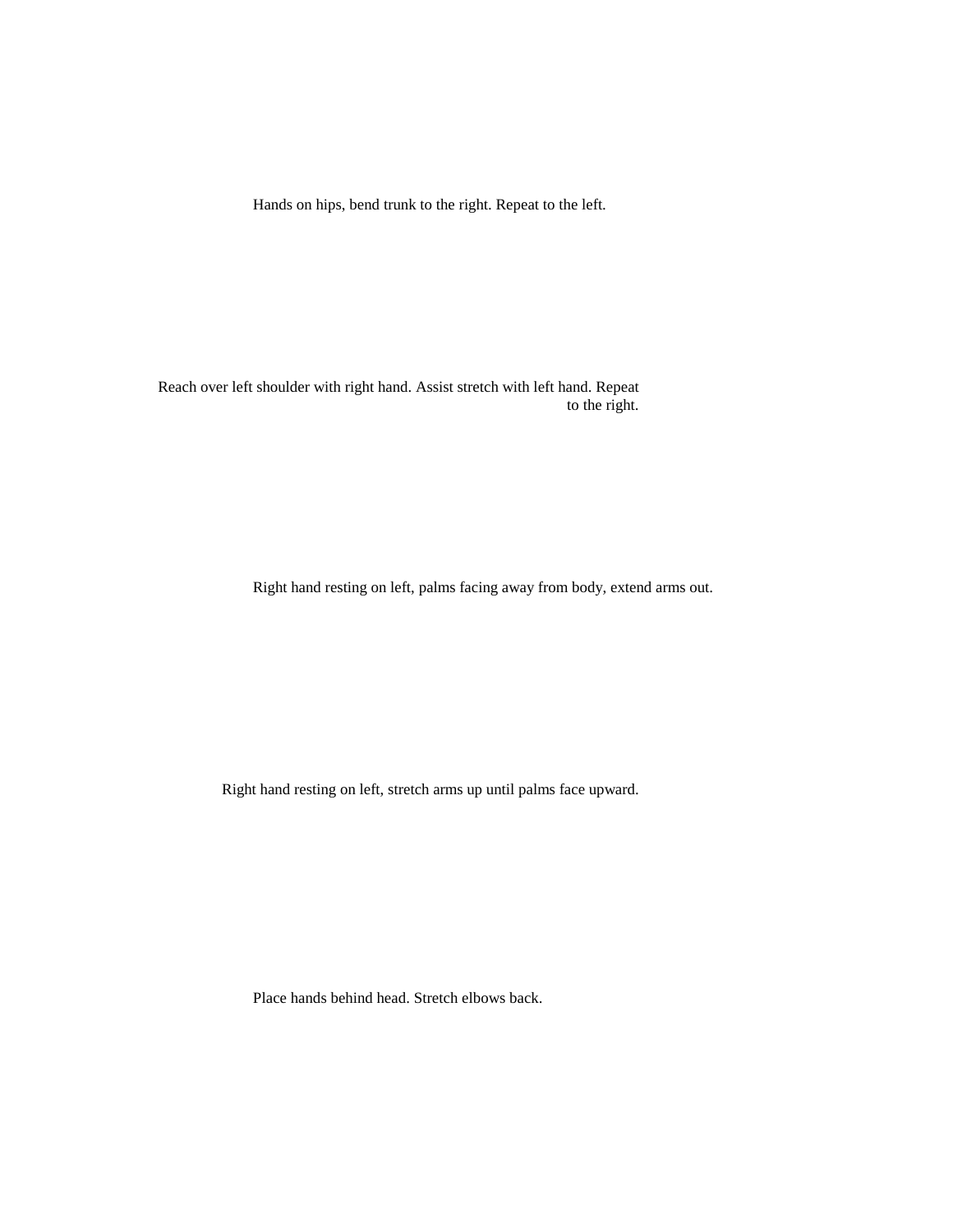Hands on hips, bend trunk to the right. Repeat to the left.

Reach over left shoulder with right hand. Assist stretch with left hand. Repeat to the right.

Right hand resting on left, palms facing away from body, extend arms out.

Right hand resting on left, stretch arms up until palms face upward.

Place hands behind head. Stretch elbows back.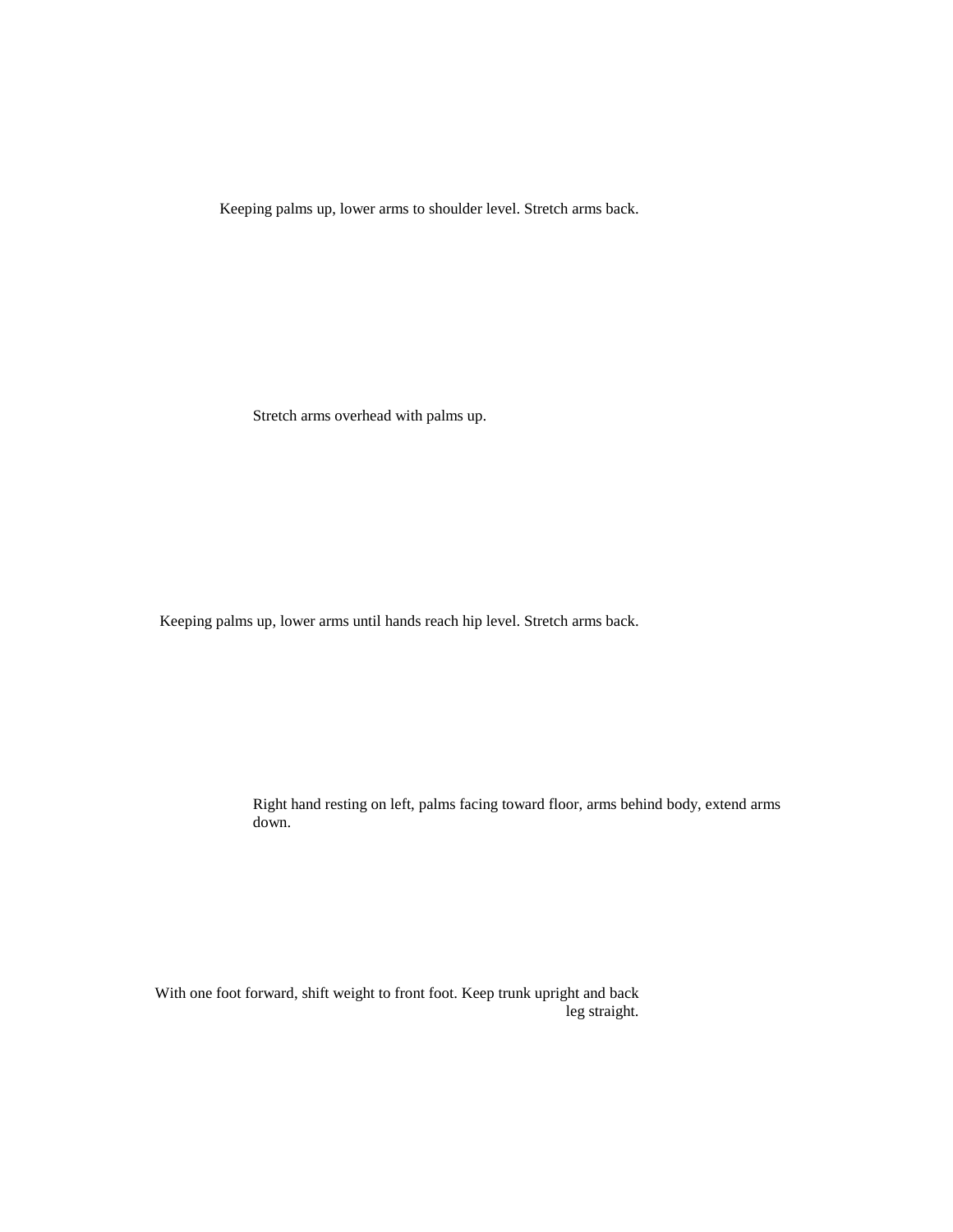Keeping palms up, lower arms to shoulder level. Stretch arms back.

Stretch arms overhead with palms up.

Keeping palms up, lower arms until hands reach hip level. Stretch arms back.

Right hand resting on left, palms facing toward floor, arms behind body, extend arms down.

With one foot forward, shift weight to front foot. Keep trunk upright and back leg straight.